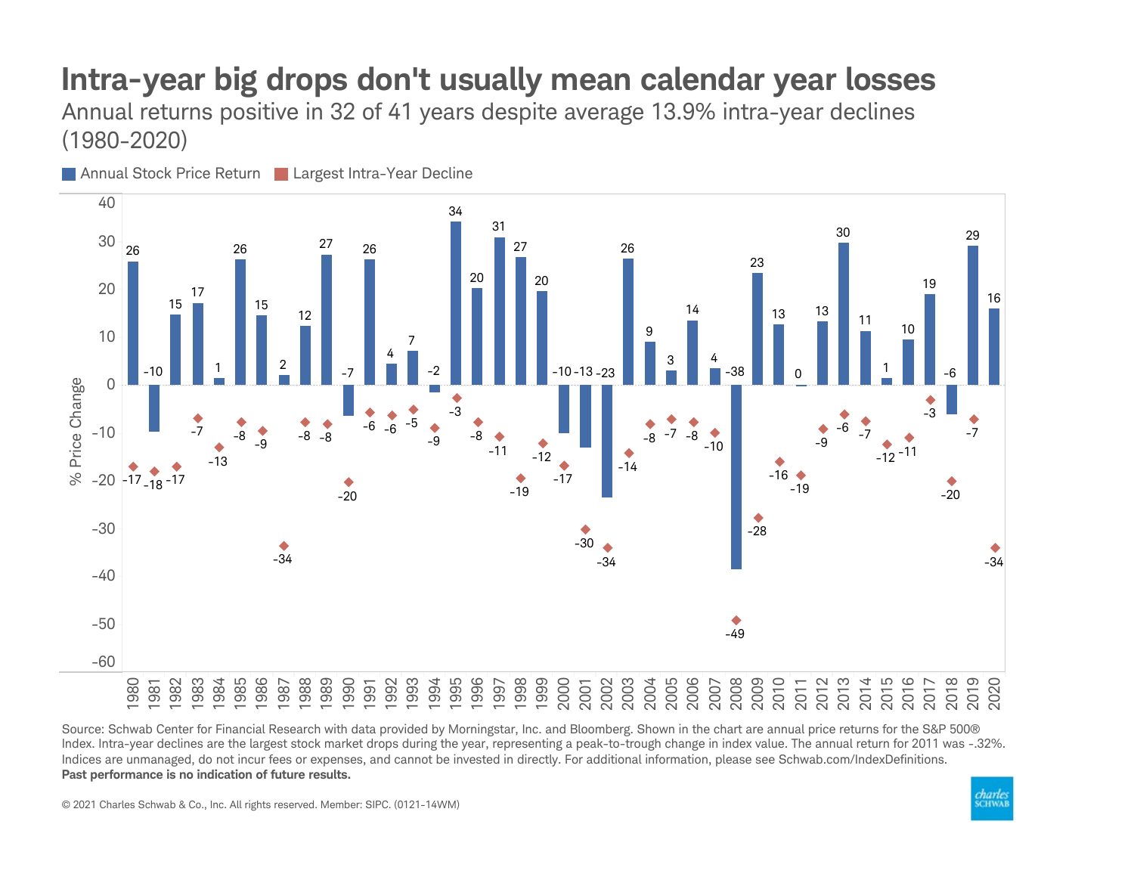## Intra-year big drops don't usually mean calendar year losses

Annual returns positive in 32 of 41 years despite average 13.9% intra-year declines (1980-2020)



Source: Schwab Center for Financial Research with data provided by Morningstar, Inc. and Bloomberg. Shown in the chart are annual price returns for the S&P 500® Index. Intra-year declines are the largest stock market drops during the year, representing a peak-to-trough change in index value. The annual return for 2011 was -.32%. Indices are unmanaged, do not incur fees or expenses, and cannot be invested in directly. For additional information, please see Schwab.com/IndexDefinitions. Past performance is no indication of future results.